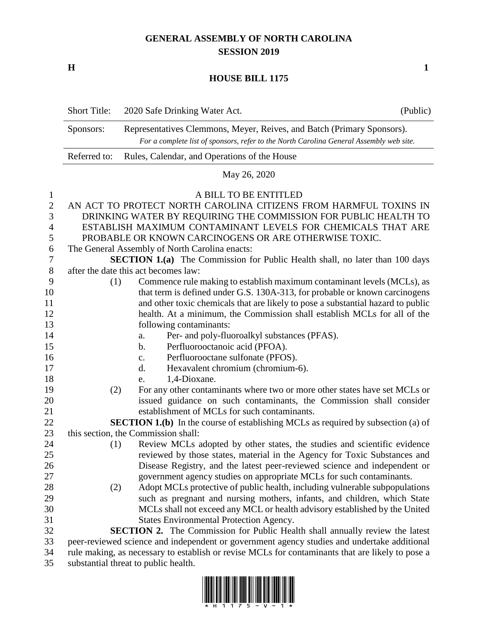## **GENERAL ASSEMBLY OF NORTH CAROLINA SESSION 2019**

**H 1**

## **HOUSE BILL 1175**

|                | <b>Short Title:</b>                                                                                                  | 2020 Safe Drinking Water Act.                                                                                                                                     | (Public) |  |
|----------------|----------------------------------------------------------------------------------------------------------------------|-------------------------------------------------------------------------------------------------------------------------------------------------------------------|----------|--|
|                | Sponsors:                                                                                                            | Representatives Clemmons, Meyer, Reives, and Batch (Primary Sponsors).<br>For a complete list of sponsors, refer to the North Carolina General Assembly web site. |          |  |
|                | Referred to:<br>Rules, Calendar, and Operations of the House                                                         |                                                                                                                                                                   |          |  |
|                | May 26, 2020                                                                                                         |                                                                                                                                                                   |          |  |
| $\mathbf{1}$   |                                                                                                                      | A BILL TO BE ENTITLED                                                                                                                                             |          |  |
| $\sqrt{2}$     |                                                                                                                      | AN ACT TO PROTECT NORTH CAROLINA CITIZENS FROM HARMFUL TOXINS IN                                                                                                  |          |  |
| 3              | DRINKING WATER BY REQUIRING THE COMMISSION FOR PUBLIC HEALTH TO                                                      |                                                                                                                                                                   |          |  |
| $\overline{4}$ | ESTABLISH MAXIMUM CONTAMINANT LEVELS FOR CHEMICALS THAT ARE<br>PROBABLE OR KNOWN CARCINOGENS OR ARE OTHERWISE TOXIC. |                                                                                                                                                                   |          |  |
| 5<br>6         | The General Assembly of North Carolina enacts:                                                                       |                                                                                                                                                                   |          |  |
| 7              | <b>SECTION 1.(a)</b> The Commission for Public Health shall, no later than 100 days                                  |                                                                                                                                                                   |          |  |
| $8\,$          | after the date this act becomes law:                                                                                 |                                                                                                                                                                   |          |  |
| 9              | (1)                                                                                                                  | Commence rule making to establish maximum contaminant levels (MCLs), as                                                                                           |          |  |
| 10             |                                                                                                                      | that term is defined under G.S. 130A-313, for probable or known carcinogens                                                                                       |          |  |
| 11             |                                                                                                                      | and other toxic chemicals that are likely to pose a substantial hazard to public                                                                                  |          |  |
| 12             |                                                                                                                      | health. At a minimum, the Commission shall establish MCLs for all of the                                                                                          |          |  |
| 13             |                                                                                                                      | following contaminants:                                                                                                                                           |          |  |
| 14             |                                                                                                                      | Per- and poly-fluoroalkyl substances (PFAS).<br>a.                                                                                                                |          |  |
| 15             |                                                                                                                      | Perfluorooctanoic acid (PFOA).<br>b.                                                                                                                              |          |  |
| 16             |                                                                                                                      | Perfluorooctane sulfonate (PFOS).<br>c.                                                                                                                           |          |  |
| 17             |                                                                                                                      | Hexavalent chromium (chromium-6).<br>d.                                                                                                                           |          |  |
| 18             |                                                                                                                      | 1,4-Dioxane.<br>e.                                                                                                                                                |          |  |
| 19<br>20       | (2)                                                                                                                  | For any other contaminants where two or more other states have set MCLs or<br>issued guidance on such contaminants, the Commission shall consider                 |          |  |
| 21             |                                                                                                                      | establishment of MCLs for such contaminants.                                                                                                                      |          |  |
| 22             |                                                                                                                      | <b>SECTION 1.(b)</b> In the course of establishing MCLs as required by subsection (a) of                                                                          |          |  |
| 23             |                                                                                                                      | this section, the Commission shall:                                                                                                                               |          |  |
| 24             | (1)                                                                                                                  | Review MCLs adopted by other states, the studies and scientific evidence                                                                                          |          |  |
| $25\,$         |                                                                                                                      | reviewed by those states, material in the Agency for Toxic Substances and                                                                                         |          |  |
| 26             |                                                                                                                      | Disease Registry, and the latest peer-reviewed science and independent or                                                                                         |          |  |
| 27             |                                                                                                                      | government agency studies on appropriate MCLs for such contaminants.                                                                                              |          |  |
| 28             | (2)                                                                                                                  | Adopt MCLs protective of public health, including vulnerable subpopulations                                                                                       |          |  |
| 29             |                                                                                                                      | such as pregnant and nursing mothers, infants, and children, which State                                                                                          |          |  |
| 30             |                                                                                                                      | MCLs shall not exceed any MCL or health advisory established by the United                                                                                        |          |  |
| 31             |                                                                                                                      | <b>States Environmental Protection Agency.</b>                                                                                                                    |          |  |
| 32             | <b>SECTION 2.</b> The Commission for Public Health shall annually review the latest                                  |                                                                                                                                                                   |          |  |
| 33             | peer-reviewed science and independent or government agency studies and undertake additional                          |                                                                                                                                                                   |          |  |
| 34             | rule making, as necessary to establish or revise MCLs for contaminants that are likely to pose a                     |                                                                                                                                                                   |          |  |

substantial threat to public health.